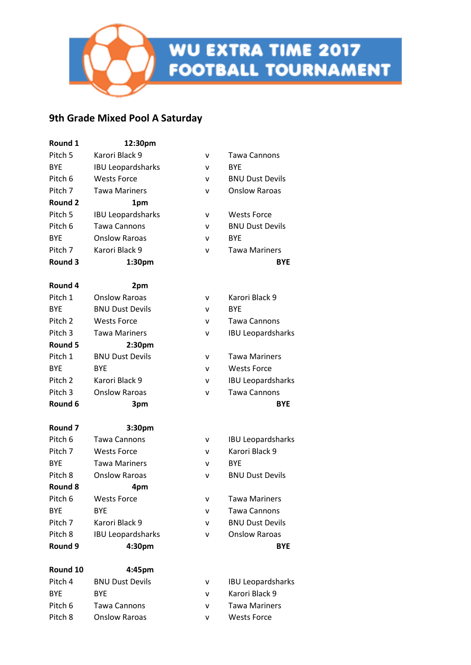### **9th Grade Mixed Pool A Saturday**

| Round 1        | 12:30pm                  |   |                          |
|----------------|--------------------------|---|--------------------------|
| Pitch 5        | Karori Black 9           | v | Tawa Cannons             |
| <b>BYE</b>     | <b>IBU Leopardsharks</b> | v | <b>BYE</b>               |
| Pitch 6        | <b>Wests Force</b>       | v | <b>BNU Dust Devils</b>   |
| Pitch 7        | <b>Tawa Mariners</b>     | v | <b>Onslow Raroas</b>     |
| <b>Round 2</b> | 1pm                      |   |                          |
| Pitch 5        | <b>IBU Leopardsharks</b> | v | <b>Wests Force</b>       |
| Pitch 6        | <b>Tawa Cannons</b>      | v | <b>BNU Dust Devils</b>   |
| <b>BYE</b>     | <b>Onslow Raroas</b>     | v | <b>BYF</b>               |
| Pitch 7        | Karori Black 9           | v | <b>Tawa Mariners</b>     |
| Round 3        | 1:30pm                   |   | <b>BYE</b>               |
| Round 4        | 2pm                      |   |                          |
| Pitch 1        | <b>Onslow Raroas</b>     | ۷ | Karori Black 9           |
| <b>BYE</b>     | <b>BNU Dust Devils</b>   | v | <b>BYE</b>               |
| Pitch 2        | <b>Wests Force</b>       | ۷ | <b>Tawa Cannons</b>      |
| Pitch 3        | <b>Tawa Mariners</b>     | v | <b>IBU Leopardsharks</b> |
| Round 5        | 2:30pm                   |   |                          |
| Pitch 1        | <b>BNU Dust Devils</b>   | v | <b>Tawa Mariners</b>     |
| <b>BYE</b>     | <b>BYF</b>               | v | <b>Wests Force</b>       |
| Pitch 2        | Karori Black 9           | v | <b>IBU Leopardsharks</b> |
| Pitch 3        | <b>Onslow Raroas</b>     | v | <b>Tawa Cannons</b>      |
| Round 6        | 3pm                      |   | <b>BYE</b>               |
| Round 7        | 3:30pm                   |   |                          |
| Pitch 6        | Tawa Cannons             | ۷ | <b>IBU Leopardsharks</b> |
| Pitch 7        | <b>Wests Force</b>       | v | Karori Black 9           |
| <b>BYE</b>     | <b>Tawa Mariners</b>     | v | <b>BYF</b>               |
| Pitch 8        | <b>Onslow Raroas</b>     | v | <b>BNU Dust Devils</b>   |
| Round 8        | 4pm                      |   |                          |
| Pitch 6        | <b>Wests Force</b>       | v | <b>Tawa Mariners</b>     |
| <b>BYE</b>     | <b>BYE</b>               | v | <b>Tawa Cannons</b>      |
| Pitch 7        | Karori Black 9           | v | <b>BNU Dust Devils</b>   |
| Pitch 8        | <b>IBU Leopardsharks</b> | v | <b>Onslow Raroas</b>     |
| Round 9        | 4:30pm                   |   | <b>BYE</b>               |
| Round 10       | 4:45pm                   |   |                          |
| Pitch 4        | <b>BNU Dust Devils</b>   | ۷ | <b>IBU Leopardsharks</b> |

BYE BYE v Karori Black 9 Pitch 6 Tawa Cannons V Tawa Mariners Pitch 8 Onslow Raroas v Wests Force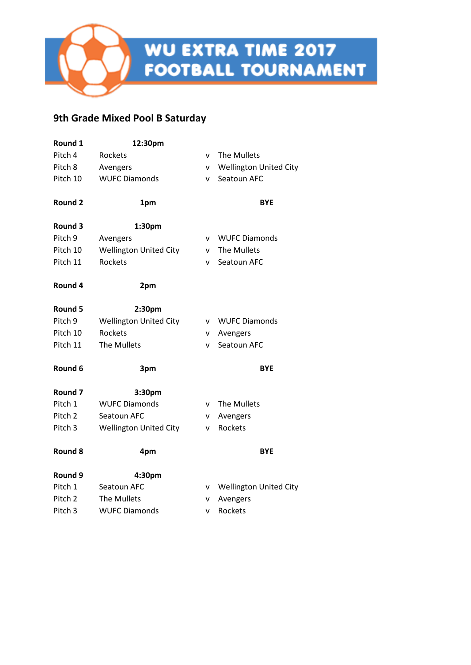# **9th Grade Mixed Pool B Saturday**

| Round 1            | 12:30pm                       |              |                               |
|--------------------|-------------------------------|--------------|-------------------------------|
| Pitch 4            | Rockets                       | v            | The Mullets                   |
| Pitch 8            | Avengers                      | v            | <b>Wellington United City</b> |
| Pitch 10           | <b>WUFC Diamonds</b>          | v            | Seatoun AFC                   |
| <b>Round 2</b>     | 1pm                           |              | <b>BYE</b>                    |
| Round 3            | 1:30pm                        |              |                               |
| Pitch <sub>9</sub> | Avengers                      | $\mathsf{v}$ | <b>WUFC Diamonds</b>          |
| Pitch 10           | <b>Wellington United City</b> | v            | The Mullets                   |
| Pitch 11           | Rockets                       | v            | Seatoun AFC                   |
| Round 4            | 2pm                           |              |                               |
| Round 5            | 2:30pm                        |              |                               |
| Pitch 9            | <b>Wellington United City</b> | v            | <b>WUFC Diamonds</b>          |
| Pitch 10           | <b>Rockets</b>                | v            | Avengers                      |
| Pitch 11           | The Mullets                   | v            | Seatoun AFC                   |
| Round 6            | 3pm                           |              | <b>BYE</b>                    |
| Round <sub>7</sub> | 3:30pm                        |              |                               |
| Pitch 1            | <b>WUFC Diamonds</b>          | v            | The Mullets                   |
| Pitch <sub>2</sub> | Seatoun AFC                   | v            | Avengers                      |
| Pitch <sub>3</sub> | <b>Wellington United City</b> | v            | Rockets                       |
| Round 8            | 4pm                           |              | <b>BYE</b>                    |
| Round 9            | 4:30pm                        |              |                               |
| Pitch 1            | Seatoun AFC                   | v            | <b>Wellington United City</b> |
| Pitch <sub>2</sub> | The Mullets                   | ٧            | Avengers                      |
| Pitch 3            | <b>WUFC Diamonds</b>          | v            | Rockets                       |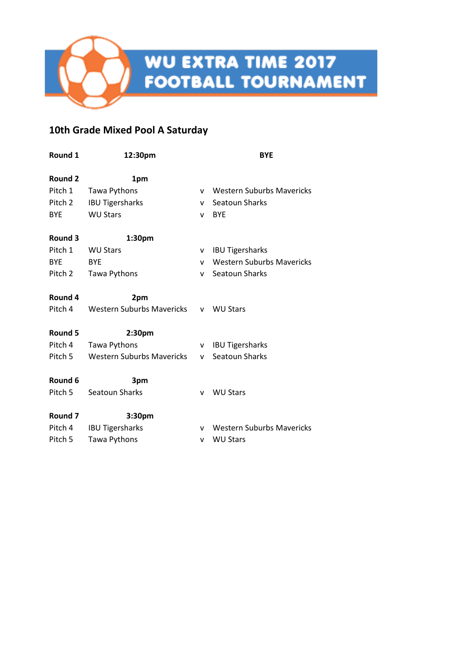# **10th Grade Mixed Pool A Saturday**

| Round 1            | 12:30pm                          | <b>BYE</b> |                                  |
|--------------------|----------------------------------|------------|----------------------------------|
|                    |                                  |            |                                  |
| Round 2            | 1pm                              |            |                                  |
| Pitch 1            | Tawa Pythons                     | v          | <b>Western Suburbs Mavericks</b> |
| Pitch 2            | <b>IBU Tigersharks</b>           | v          | Seatoun Sharks                   |
| <b>BYE</b>         | <b>WU Stars</b>                  | v          | <b>BYE</b>                       |
| Round 3            | 1:30pm                           |            |                                  |
| Pitch 1            | <b>WU Stars</b>                  | v          | <b>IBU Tigersharks</b>           |
| <b>BYE</b>         | <b>BYE</b>                       | v          | <b>Western Suburbs Mavericks</b> |
| Pitch 2            | Tawa Pythons                     | v          | Seatoun Sharks                   |
| Round 4            | 2pm                              |            |                                  |
| Pitch 4            | Western Suburbs Mavericks        |            | v WU Stars                       |
| Round 5            | 2:30 <sub>pm</sub>               |            |                                  |
| Pitch 4            | Tawa Pythons                     | v          | <b>IBU Tigersharks</b>           |
| Pitch 5            | <b>Western Suburbs Mavericks</b> | <b>V</b>   | Seatoun Sharks                   |
| Round 6            | 3pm                              |            |                                  |
| Pitch 5            | Seatoun Sharks                   | v          | <b>WU Stars</b>                  |
| Round <sub>7</sub> | 3:30pm                           |            |                                  |
| Pitch 4            | <b>IBU Tigersharks</b>           | V.         | Western Suburbs Mavericks        |
| Pitch 5            | Tawa Pythons                     | v          | <b>WU Stars</b>                  |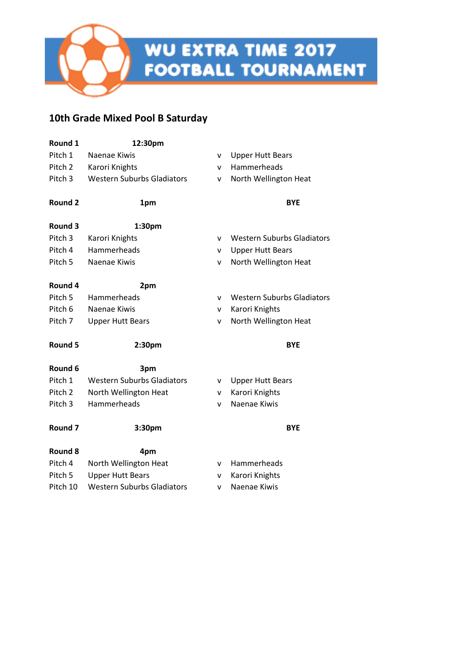# **10th Grade Mixed Pool B Saturday**

| Round 1            | 12:30pm                           |              |                                   |
|--------------------|-----------------------------------|--------------|-----------------------------------|
| Pitch 1            | Naenae Kiwis                      | v            | <b>Upper Hutt Bears</b>           |
| Pitch 2            | Karori Knights                    | v            | Hammerheads                       |
| Pitch <sub>3</sub> | <b>Western Suburbs Gladiators</b> | ٨            | North Wellington Heat             |
| Round 2            | 1pm                               |              | <b>BYE</b>                        |
| Round 3            | 1:30pm                            |              |                                   |
| Pitch <sub>3</sub> | Karori Knights                    | v            | <b>Western Suburbs Gladiators</b> |
| Pitch 4            | Hammerheads                       | v            | <b>Upper Hutt Bears</b>           |
| Pitch <sub>5</sub> | Naenae Kiwis                      | v            | North Wellington Heat             |
| Round 4            | 2pm                               |              |                                   |
| Pitch <sub>5</sub> | Hammerheads                       | v            | <b>Western Suburbs Gladiators</b> |
| Pitch 6            | Naenae Kiwis                      | v            | Karori Knights                    |
| Pitch 7            | <b>Upper Hutt Bears</b>           | v            | North Wellington Heat             |
| Round 5            | 2:30pm                            |              | <b>BYE</b>                        |
| Round 6            | 3pm                               |              |                                   |
| Pitch 1            | <b>Western Suburbs Gladiators</b> | v            | <b>Upper Hutt Bears</b>           |
| Pitch <sub>2</sub> | North Wellington Heat             | v            | Karori Knights                    |
| Pitch <sub>3</sub> | Hammerheads                       | $\mathsf{v}$ | Naenae Kiwis                      |
| Round <sub>7</sub> | 3:30pm                            |              | <b>BYE</b>                        |
| Round 8            | 4pm                               |              |                                   |
| Pitch 4            | North Wellington Heat             | v            | Hammerheads                       |
| Pitch 5            | <b>Upper Hutt Bears</b>           | v            | Karori Knights                    |
| Pitch 10           | <b>Western Suburbs Gladiators</b> | v            | Naenae Kiwis                      |
|                    |                                   |              |                                   |